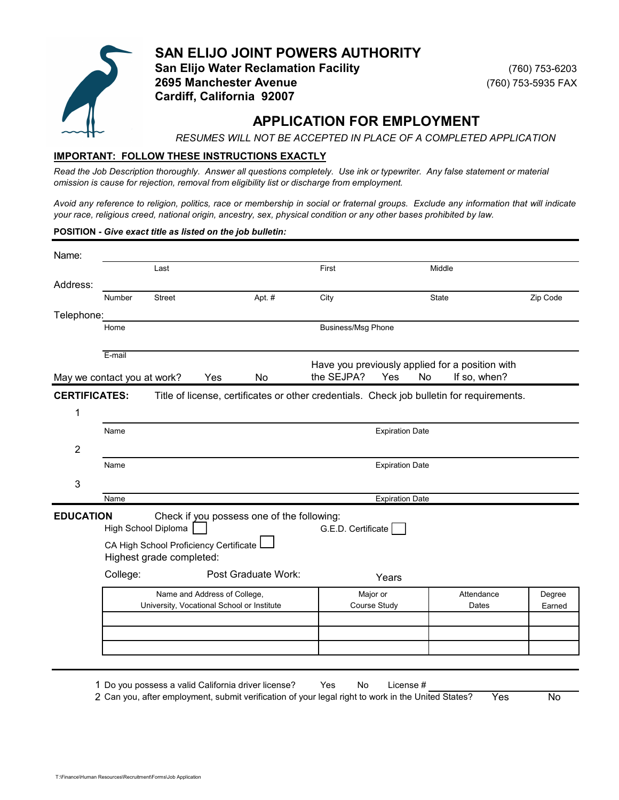

**SAN ELIJO JOINT POWERS AUTHORITY San Elijo Water Reclamation Facility** (760) 753-6203 **2695 Manchester Avenue** (760) 753-5935 FAX **Cardiff, California 92007**

# **APPLICATION FOR EMPLOYMENT**

*RESUMES WILL NOT BE ACCEPTED IN PLACE OF A COMPLETED APPLICATION*

## **IMPORTANT: FOLLOW THESE INSTRUCTIONS EXACTLY**

*Read the Job Description thoroughly. Answer all questions completely. Use ink or typewriter. Any false statement or material omission is cause for rejection, removal from eligibility list or discharge from employment.* 

Avoid any reference to religion, politics, race or membership in social or fraternal groups. Exclude any information that will indicate *your race, religious creed, national origin, ancestry, sex, physical condition or any other bases prohibited by law.*

### **POSITION -** *Give exact title as listed on the job bulletin:*

| Name:                |                             |                                                               |                                                                                           |                           |                        |                                                                 |                  |
|----------------------|-----------------------------|---------------------------------------------------------------|-------------------------------------------------------------------------------------------|---------------------------|------------------------|-----------------------------------------------------------------|------------------|
|                      |                             | Last                                                          |                                                                                           | First                     |                        | Middle                                                          |                  |
| Address:             |                             |                                                               |                                                                                           |                           |                        |                                                                 |                  |
|                      | Number                      | <b>Street</b>                                                 | Apt. #                                                                                    | City                      |                        | State                                                           | Zip Code         |
| Telephone:           |                             |                                                               |                                                                                           |                           |                        |                                                                 |                  |
|                      | Home                        |                                                               |                                                                                           | <b>Business/Msg Phone</b> |                        |                                                                 |                  |
|                      | E-mail                      |                                                               |                                                                                           |                           |                        |                                                                 |                  |
|                      | May we contact you at work? |                                                               | Yes<br><b>No</b>                                                                          | the SEJPA?                | Yes<br>No              | Have you previously applied for a position with<br>If so, when? |                  |
| <b>CERTIFICATES:</b> |                             |                                                               | Title of license, certificates or other credentials. Check job bulletin for requirements. |                           |                        |                                                                 |                  |
| 1                    |                             |                                                               |                                                                                           |                           |                        |                                                                 |                  |
|                      | Name                        |                                                               |                                                                                           |                           | <b>Expiration Date</b> |                                                                 |                  |
| $\overline{2}$       |                             |                                                               |                                                                                           |                           |                        |                                                                 |                  |
|                      | Name                        |                                                               |                                                                                           |                           | <b>Expiration Date</b> |                                                                 |                  |
| 3                    |                             |                                                               |                                                                                           |                           |                        |                                                                 |                  |
|                      | Name                        |                                                               |                                                                                           |                           | <b>Expiration Date</b> |                                                                 |                  |
| <b>EDUCATION</b>     |                             | High School Diploma<br>CA High School Proficiency Certificate | Check if you possess one of the following:                                                | G.E.D. Certificate        |                        |                                                                 |                  |
|                      |                             | Highest grade completed:                                      |                                                                                           |                           |                        |                                                                 |                  |
|                      | College:                    |                                                               | Post Graduate Work:                                                                       |                           | Years                  |                                                                 |                  |
|                      |                             |                                                               | Name and Address of College,<br>University, Vocational School or Institute                | Major or<br>Course Study  |                        | Attendance<br>Dates                                             | Degree<br>Earned |
|                      |                             |                                                               |                                                                                           |                           |                        |                                                                 |                  |
|                      |                             |                                                               |                                                                                           |                           |                        |                                                                 |                  |
|                      |                             |                                                               |                                                                                           |                           |                        |                                                                 |                  |

1 Do you possess a valid California driver license? Yes No License # 2 Can you, after employment, submit verification of your legal right to work in the United States? Yes No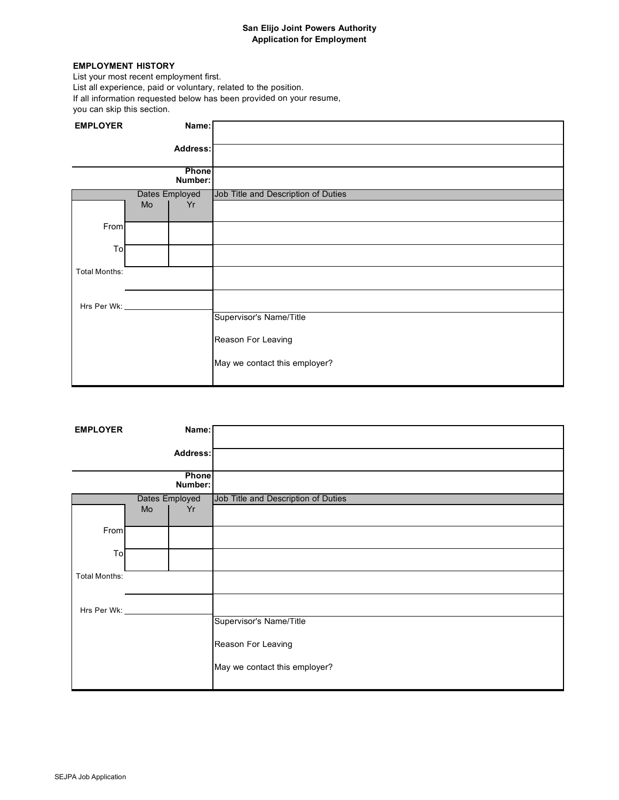## **San Elijo Joint Powers Authority Application for Employment**

### **EMPLOYMENT HISTORY**

List your most recent employment first. List all experience, paid or voluntary, related to the position. If all information requested below has been provided on your resume, you can skip this section.

| <b>EMPLOYER</b>      |    | Name:            |                                     |
|----------------------|----|------------------|-------------------------------------|
|                      |    | Address:         |                                     |
|                      |    | Phone<br>Number: |                                     |
|                      |    | Dates Employed   | Job Title and Description of Duties |
|                      | Mo | Yr               |                                     |
| From                 |    |                  |                                     |
| To                   |    |                  |                                     |
| <b>Total Months:</b> |    |                  |                                     |
| Hrs Per Wk:          |    |                  |                                     |
|                      |    |                  | Supervisor's Name/Title             |
|                      |    |                  | Reason For Leaving                  |
|                      |    |                  | May we contact this employer?       |

| <b>EMPLOYER</b>       |    | Name:          |                                     |
|-----------------------|----|----------------|-------------------------------------|
|                       |    |                |                                     |
|                       |    | Address:       |                                     |
|                       |    |                |                                     |
|                       |    | Phone          |                                     |
|                       |    | Number:        |                                     |
|                       |    | Dates Employed | Job Title and Description of Duties |
|                       | Mo | Yr             |                                     |
|                       |    |                |                                     |
| From                  |    |                |                                     |
| To                    |    |                |                                     |
|                       |    |                |                                     |
| <b>Total Months:</b>  |    |                |                                     |
|                       |    |                |                                     |
|                       |    |                |                                     |
| Hrs Per Wk: _________ |    |                |                                     |
|                       |    |                | Supervisor's Name/Title             |
|                       |    |                | Reason For Leaving                  |
|                       |    |                |                                     |
|                       |    |                | May we contact this employer?       |
|                       |    |                |                                     |
|                       |    |                |                                     |